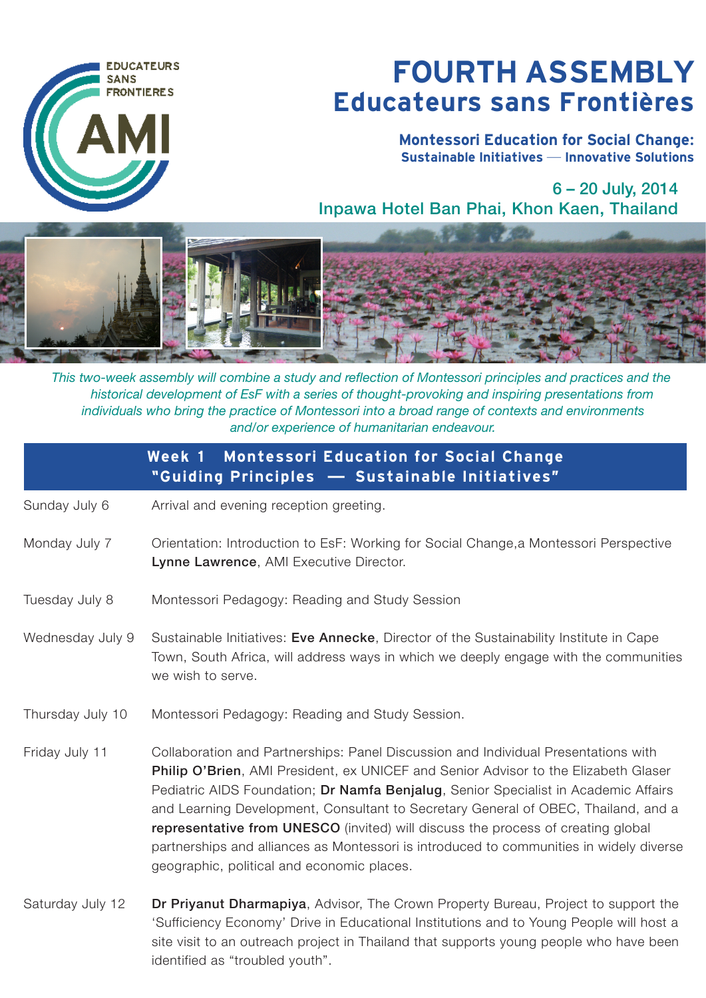

## FOURTH ASSEMBLY Educateurs sans Frontieres

Montessori Education for Social Change: Sustainable Initiatives — Innovative Solutions

6 – 20 July, 2014 Inpawa Hotel Ban Phai, Khon Kaen, Thailand



*This two-week assembly will combine a study and reflection of Montessori principles and practices and the historical development of EsF with a series of thought-provoking and inspiring presentations from individuals who bring the practice of Montessori into a broad range of contexts and environments and/or experience of humanitarian endeavour.*

|                  | <b>Montessori Education for Social Change</b><br>Week 1<br>"Guiding Principles - Sustainable Initiatives"                                                                                                                                                                                                                                                                                                                                                                                                                                                                           |
|------------------|-------------------------------------------------------------------------------------------------------------------------------------------------------------------------------------------------------------------------------------------------------------------------------------------------------------------------------------------------------------------------------------------------------------------------------------------------------------------------------------------------------------------------------------------------------------------------------------|
| Sunday July 6    | Arrival and evening reception greeting.                                                                                                                                                                                                                                                                                                                                                                                                                                                                                                                                             |
| Monday July 7    | Orientation: Introduction to EsF: Working for Social Change, a Montessori Perspective<br>Lynne Lawrence, AMI Executive Director.                                                                                                                                                                                                                                                                                                                                                                                                                                                    |
| Tuesday July 8   | Montessori Pedagogy: Reading and Study Session                                                                                                                                                                                                                                                                                                                                                                                                                                                                                                                                      |
| Wednesday July 9 | Sustainable Initiatives: Eve Annecke, Director of the Sustainability Institute in Cape<br>Town, South Africa, will address ways in which we deeply engage with the communities<br>we wish to serve.                                                                                                                                                                                                                                                                                                                                                                                 |
| Thursday July 10 | Montessori Pedagogy: Reading and Study Session.                                                                                                                                                                                                                                                                                                                                                                                                                                                                                                                                     |
| Friday July 11   | Collaboration and Partnerships: Panel Discussion and Individual Presentations with<br>Philip O'Brien, AMI President, ex UNICEF and Senior Advisor to the Elizabeth Glaser<br>Pediatric AIDS Foundation; Dr Namfa Benjalug, Senior Specialist in Academic Affairs<br>and Learning Development, Consultant to Secretary General of OBEC, Thailand, and a<br>representative from UNESCO (invited) will discuss the process of creating global<br>partnerships and alliances as Montessori is introduced to communities in widely diverse<br>geographic, political and economic places. |
| Saturday July 12 | Dr Priyanut Dharmapiya, Advisor, The Crown Property Bureau, Project to support the<br>'Sufficiency Economy' Drive in Educational Institutions and to Young People will host a<br>site visit to an outreach project in Thailand that supports young people who have been                                                                                                                                                                                                                                                                                                             |

identified as "troubled youth".